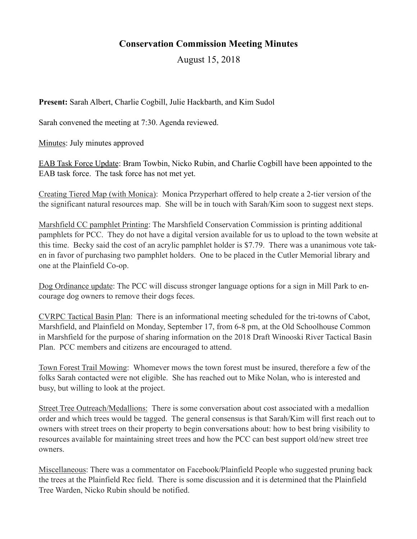## **Conservation Commission Meeting Minutes**

August 15, 2018

**Present:** Sarah Albert, Charlie Cogbill, Julie Hackbarth, and Kim Sudol

Sarah convened the meeting at 7:30. Agenda reviewed.

Minutes: July minutes approved

EAB Task Force Update: Bram Towbin, Nicko Rubin, and Charlie Cogbill have been appointed to the EAB task force. The task force has not met yet.

Creating Tiered Map (with Monica): Monica Przyperhart offered to help create a 2-tier version of the the significant natural resources map. She will be in touch with Sarah/Kim soon to suggest next steps.

Marshfield CC pamphlet Printing: The Marshfield Conservation Commission is printing additional pamphlets for PCC. They do not have a digital version available for us to upload to the town website at this time. Becky said the cost of an acrylic pamphlet holder is \$7.79. There was a unanimous vote taken in favor of purchasing two pamphlet holders. One to be placed in the Cutler Memorial library and one at the Plainfield Co-op.

Dog Ordinance update: The PCC will discuss stronger language options for a sign in Mill Park to encourage dog owners to remove their dogs feces.

CVRPC Tactical Basin Plan: There is an informational meeting scheduled for the tri-towns of Cabot, Marshfield, and Plainfield on Monday, September 17, from 6-8 pm, at the Old Schoolhouse Common in Marshfield for the purpose of sharing information on the 2018 Draft Winooski River Tactical Basin Plan. PCC members and citizens are encouraged to attend.

Town Forest Trail Mowing: Whomever mows the town forest must be insured, therefore a few of the folks Sarah contacted were not eligible. She has reached out to Mike Nolan, who is interested and busy, but willing to look at the project.

Street Tree Outreach/Medallions: There is some conversation about cost associated with a medallion order and which trees would be tagged. The general consensus is that Sarah/Kim will first reach out to owners with street trees on their property to begin conversations about: how to best bring visibility to resources available for maintaining street trees and how the PCC can best support old/new street tree owners.

Miscellaneous: There was a commentator on Facebook/Plainfield People who suggested pruning back the trees at the Plainfield Rec field. There is some discussion and it is determined that the Plainfield Tree Warden, Nicko Rubin should be notified.